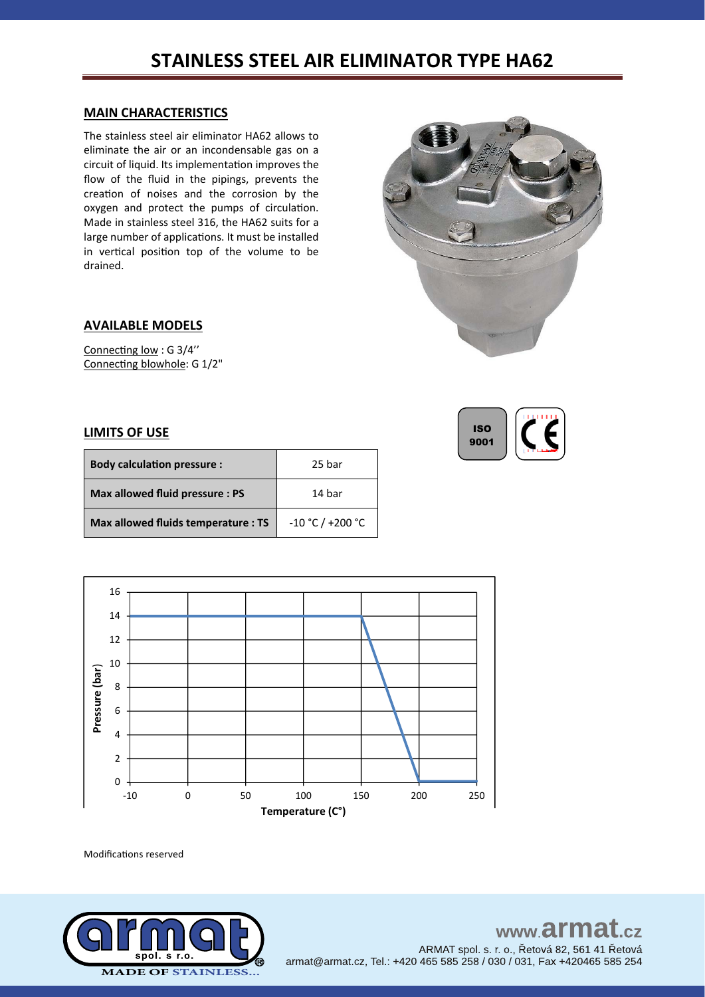## **STAINLESS STEEL AIR ELIMINATOR TYPE HA62**

#### **MAIN CHARACTERISTICS**

The stainless steel air eliminator HA62 allows to eliminate the air or an incondensable gas on a circuit of liquid. Its implementation improves the flow of the fluid in the pipings, prevents the creation of noises and the corrosion by the oxygen and protect the pumps of circulation. Made in stainless steel 316, the HA62 suits for a large number of applications. It must be installed in vertical position top of the volume to be drained.



ISO 9001

#### **AVAILABLE MODELS**

Connecting low : G 3/4'' Connecting blowhole: G 1/2"

#### **LIMITS OF USE**

| <b>Body calculation pressure:</b>   | 25 bar             |
|-------------------------------------|--------------------|
| Max allowed fluid pressure : PS     | 14 bar             |
| Max allowed fluids temperature : TS | $-10 °C / +200 °C$ |



Modifications reserved

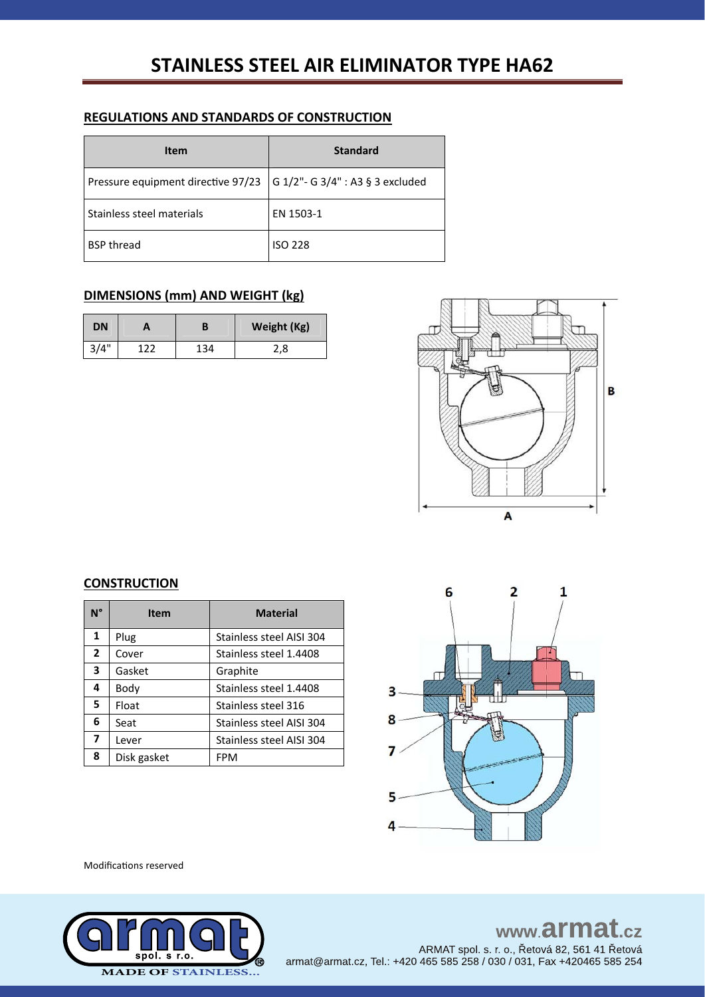# **STAINLESS STEEL AIR ELIMINATOR TYPE HA62**

### **REGULATIONS AND STANDARDS OF CONSTRUCTION**

| Item                               | <b>Standard</b>                      |
|------------------------------------|--------------------------------------|
| Pressure equipment directive 97/23 | $ G 1/2"$ - G 3/4" : A3 § 3 excluded |
| Stainless steel materials          | EN 1503-1                            |
| <b>BSP thread</b>                  | <b>ISO 228</b>                       |

## **DIMENSIONS (mm) AND WEIGHT (kg)**

| <b>DN</b> |     |     | Weight (Kg) |
|-----------|-----|-----|-------------|
| 3/4"      | ר ר | 134 | 2,8         |



### **CONSTRUCTION**

| N°           | <b>Item</b> | <b>Material</b>          |
|--------------|-------------|--------------------------|
| 1            | Plug        | Stainless steel AISI 304 |
| $\mathbf{2}$ | Cover       | Stainless steel 1.4408   |
| 3            | Gasket      | Graphite                 |
| 4            | Body        | Stainless steel 1.4408   |
| 5.           | Float       | Stainless steel 316      |
| 6            | Seat        | Stainless steel AISI 304 |
| 7            | Lever       | Stainless steel AISI 304 |
| 8            | Disk gasket | <b>FPM</b>               |



Modifications reserved



# www.armat.cz ARMAT spol. s. r. o., Řetová 82, 561 41 Řetová<br>armat@armat.cz, Tel.: +420 465 585 258 / 030 / 031, Fax +420465 585 254